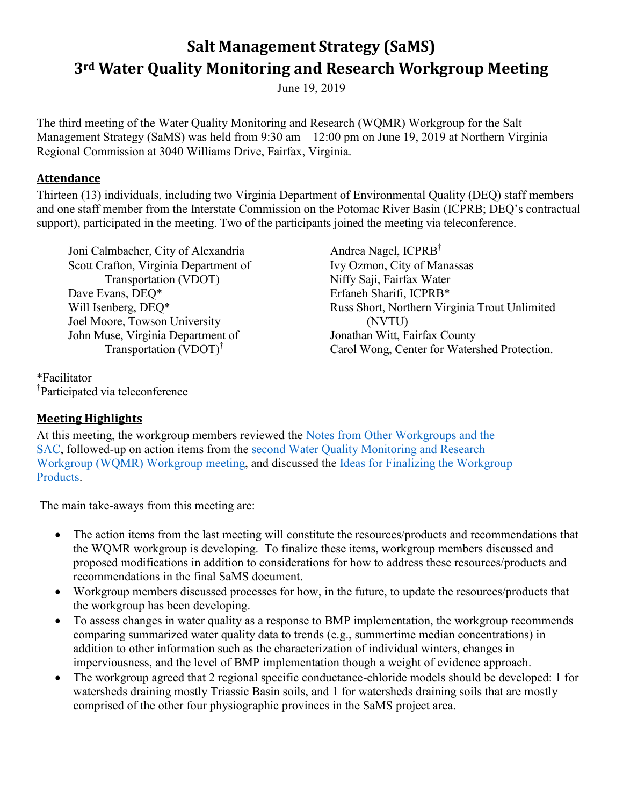# **Salt Management Strategy (SaMS) 3rd Water Quality Monitoring and Research Workgroup Meeting**

June 19, 2019

The third meeting of the Water Quality Monitoring and Research (WQMR) Workgroup for the Salt Management Strategy (SaMS) was held from 9:30 am – 12:00 pm on June 19, 2019 at Northern Virginia Regional Commission at 3040 Williams Drive, Fairfax, Virginia.

#### **Attendance**

Thirteen (13) individuals, including two Virginia Department of Environmental Quality (DEQ) staff members and one staff member from the Interstate Commission on the Potomac River Basin (ICPRB; DEQ's contractual support), participated in the meeting. Two of the participants joined the meeting via teleconference.

Joni Calmbacher, City of Alexandria Scott Crafton, Virginia Department of Transportation (VDOT) Dave Evans, DEQ\* Will Isenberg, DEQ\* Joel Moore, Towson University John Muse, Virginia Department of Transportation (VDOT)†

\*Facilitator † Participated via teleconference Andrea Nagel, ICPRB† Ivy Ozmon, City of Manassas Niffy Saji, Fairfax Water Erfaneh Sharifi, ICPRB\* Russ Short, Northern Virginia Trout Unlimited (NVTU) Jonathan Witt, Fairfax County Carol Wong, Center for Watershed Protection.

## **Meeting Highlights**

At this meeting, the workgroup members reviewed the [Notes from Other Workgroups and the](https://www.deq.virginia.gov/Portals/0/DEQ/Water/TMDL/SaMS/MeetingMaterials/WMRwg/Meeting3/SaMS_IP_WQMR3_NotesfromotherWGs.pdf)  [SAC,](https://www.deq.virginia.gov/Portals/0/DEQ/Water/TMDL/SaMS/MeetingMaterials/WMRwg/Meeting3/SaMS_IP_WQMR3_NotesfromotherWGs.pdf) followed-up on action items from the second [Water Quality Monitoring and Research](https://www.deq.virginia.gov/Portals/0/DEQ/Water/TMDL/SaMS/MeetingMaterials/WMRwg/Meeting2/SaMS_IP_Second_WQMR_Summary_2-20-19.pdf)  Workgroup [\(WQMR\) Workgroup meeting,](https://www.deq.virginia.gov/Portals/0/DEQ/Water/TMDL/SaMS/MeetingMaterials/WMRwg/Meeting2/SaMS_IP_Second_WQMR_Summary_2-20-19.pdf) and discussed the [Ideas for Finalizing the Workgroup](https://www.deq.virginia.gov/Portals/0/DEQ/Water/TMDL/SaMS/MeetingMaterials/WMRwg/Meeting3/SaMS_IP_WQMR3_FinalizingRecsProds&AddCons.pdf)  [Products.](https://www.deq.virginia.gov/Portals/0/DEQ/Water/TMDL/SaMS/MeetingMaterials/WMRwg/Meeting3/SaMS_IP_WQMR3_FinalizingRecsProds&AddCons.pdf)

The main take-aways from this meeting are:

- The action items from the last meeting will constitute the resources/products and recommendations that the WQMR workgroup is developing. To finalize these items, workgroup members discussed and proposed modifications in addition to considerations for how to address these resources/products and recommendations in the final SaMS document.
- Workgroup members discussed processes for how, in the future, to update the resources/products that the workgroup has been developing.
- To assess changes in water quality as a response to BMP implementation, the workgroup recommends comparing summarized water quality data to trends (e.g., summertime median concentrations) in addition to other information such as the characterization of individual winters, changes in imperviousness, and the level of BMP implementation though a weight of evidence approach.
- The workgroup agreed that 2 regional specific conductance-chloride models should be developed: 1 for watersheds draining mostly Triassic Basin soils, and 1 for watersheds draining soils that are mostly comprised of the other four physiographic provinces in the SaMS project area.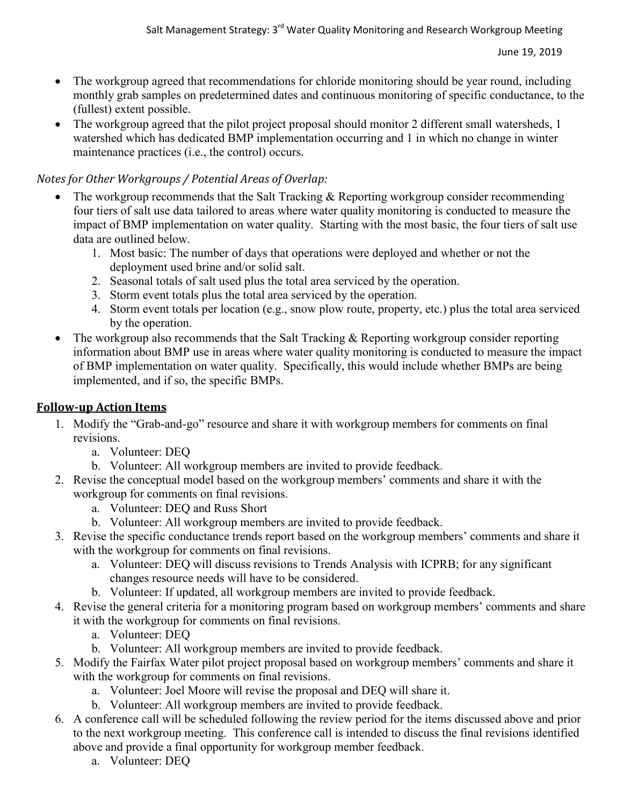- The workgroup agreed that recommendations for chloride monitoring should be year round, including monthly grab samples on predetermined dates and continuous monitoring of specific conductance, to the (fullest) extent possible.
- The workgroup agreed that the pilot project proposal should monitor 2 different small watersheds, 1 watershed which has dedicated BMP implementation occurring and 1 in which no change in winter maintenance practices (i.e., the control) occurs.

#### *Notes for Other Workgroups / Potential Areas of Overlap:*

- The workgroup recommends that the Salt Tracking & Reporting workgroup consider recommending four tiers of salt use data tailored to areas where water quality monitoring is conducted to measure the impact of BMP implementation on water quality. Starting with the most basic, the four tiers of salt use data are outlined below.
	- 1. Most basic: The number of days that operations were deployed and whether or not the deployment used brine and/or solid salt.
	- 2. Seasonal totals of salt used plus the total area serviced by the operation.
	- 3. Storm event totals plus the total area serviced by the operation.
	- 4. Storm event totals per location (e.g., snow plow route, property, etc.) plus the total area serviced by the operation.
- The workgroup also recommends that the Salt Tracking  $\&$  Reporting workgroup consider reporting information about BMP use in areas where water quality monitoring is conducted to measure the impact of BMP implementation on water quality. Specifically, this would include whether BMPs are being implemented, and if so, the specific BMPs.

#### **Follow-up Action Items**

- 1. Modify the "Grab-and-go" resource and share it with workgroup members for comments on final revisions.
	- a. Volunteer: DEQ
	- b. Volunteer: All workgroup members are invited to provide feedback.
- 2. Revise the conceptual model based on the workgroup members' comments and share it with the workgroup for comments on final revisions.
	- a. Volunteer: DEQ and Russ Short
	- b. Volunteer: All workgroup members are invited to provide feedback.
- 3. Revise the specific conductance trends report based on the workgroup members' comments and share it with the workgroup for comments on final revisions.
	- a. Volunteer: DEQ will discuss revisions to Trends Analysis with ICPRB; for any significant changes resource needs will have to be considered.
	- b. Volunteer: If updated, all workgroup members are invited to provide feedback.
- 4. Revise the general criteria for a monitoring program based on workgroup members' comments and share it with the workgroup for comments on final revisions.
	- a. Volunteer: DEQ
	- b. Volunteer: All workgroup members are invited to provide feedback.
- 5. Modify the Fairfax Water pilot project proposal based on workgroup members' comments and share it with the workgroup for comments on final revisions.
	- a. Volunteer: Joel Moore will revise the proposal and DEQ will share it.
	- b. Volunteer: All workgroup members are invited to provide feedback.
- 6. A conference call will be scheduled following the review period for the items discussed above and prior to the next workgroup meeting. This conference call is intended to discuss the final revisions identified above and provide a final opportunity for workgroup member feedback.
	- a. Volunteer: DEQ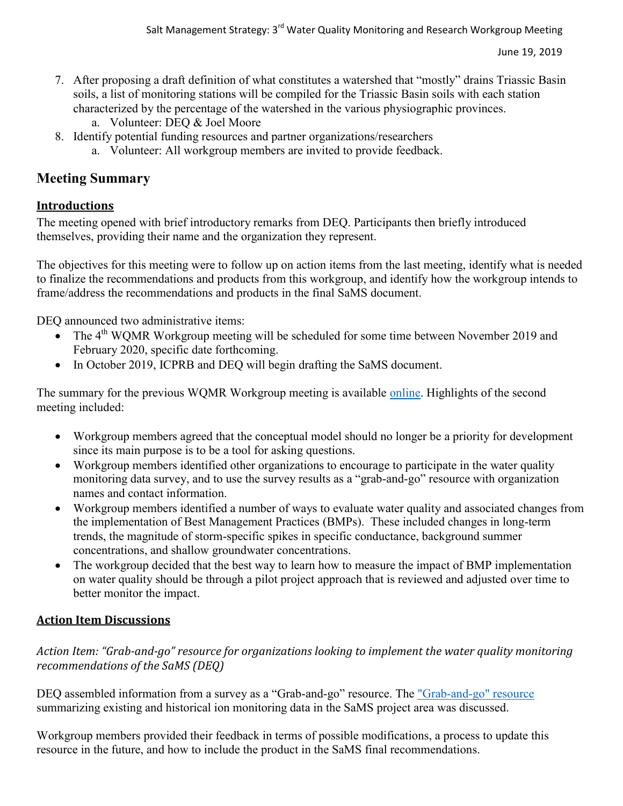- 7. After proposing a draft definition of what constitutes a watershed that "mostly" drains Triassic Basin soils, a list of monitoring stations will be compiled for the Triassic Basin soils with each station characterized by the percentage of the watershed in the various physiographic provinces.
	- a. Volunteer: DEQ & Joel Moore
- 8. Identify potential funding resources and partner organizations/researchers
	- a. Volunteer: All workgroup members are invited to provide feedback.

# **Meeting Summary**

# **Introductions**

The meeting opened with brief introductory remarks from DEQ. Participants then briefly introduced themselves, providing their name and the organization they represent.

The objectives for this meeting were to follow up on action items from the last meeting, identify what is needed to finalize the recommendations and products from this workgroup, and identify how the workgroup intends to frame/address the recommendations and products in the final SaMS document.

DEQ announced two administrative items:

- $\bullet$  The 4<sup>th</sup> WQMR Workgroup meeting will be scheduled for some time between November 2019 and February 2020, specific date forthcoming.
- In October 2019, ICPRB and DEO will begin drafting the SaMS document.

The summary for the previous WQMR Workgroup meeting is available [online.](https://www.deq.virginia.gov/Portals/0/DEQ/Water/TMDL/SaMS/MeetingMaterials/WMRwg/Meeting2/SaMS_IP_Second_WQMR_Summary_2-20-19.pdf?ver=2019-02-28-135027-260) Highlights of the second meeting included:

- Workgroup members agreed that the conceptual model should no longer be a priority for development since its main purpose is to be a tool for asking questions.
- Workgroup members identified other organizations to encourage to participate in the water quality monitoring data survey, and to use the survey results as a "grab-and-go" resource with organization names and contact information.
- Workgroup members identified a number of ways to evaluate water quality and associated changes from the implementation of Best Management Practices (BMPs). These included changes in long-term trends, the magnitude of storm-specific spikes in specific conductance, background summer concentrations, and shallow groundwater concentrations.
- The workgroup decided that the best way to learn how to measure the impact of BMP implementation on water quality should be through a pilot project approach that is reviewed and adjusted over time to better monitor the impact.

# **Action Item Discussions**

*Action Item: "Grab-and-go" resource for organizations looking to implement the water quality monitoring recommendations of the SaMS (DEQ)*

DEQ assembled information from a survey as a ["Grab-and-go" resource](https://www.deq.virginia.gov/Portals/0/DEQ/Water/TMDL/SaMS/MeetingMaterials/WMRwg/Meeting3/SaMS_IP_WQMR3_AI4_MonInventoryResults_053119.xlsx). The "Grab-and-go" resource [summarizing existing and historical ion monitoring data in the SaMS project area](https://www.deq.virginia.gov/Portals/0/DEQ/Water/TMDL/SaMS/MeetingMaterials/WMRwg/Meeting3/SaMS_IP_WQMR3_AI4_MonInventoryResults_053119.xlsx) was discussed.

Workgroup members provided their feedback in terms of possible modifications, a process to update this resource in the future, and how to include the product in the SaMS final recommendations.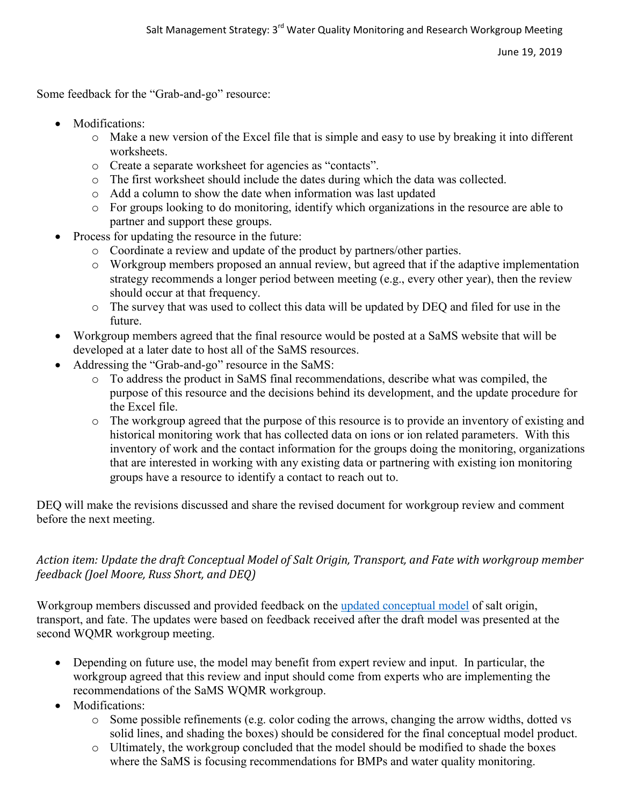Some feedback for the "Grab-and-go" resource:

- Modifications:
	- $\circ$  Make a new version of the Excel file that is simple and easy to use by breaking it into different worksheets.
	- o Create a separate worksheet for agencies as "contacts".
	- o The first worksheet should include the dates during which the data was collected.
	- o Add a column to show the date when information was last updated
	- o For groups looking to do monitoring, identify which organizations in the resource are able to partner and support these groups.
- Process for updating the resource in the future:
	- o Coordinate a review and update of the product by partners/other parties.
	- o Workgroup members proposed an annual review, but agreed that if the adaptive implementation strategy recommends a longer period between meeting (e.g., every other year), then the review should occur at that frequency.
	- o The survey that was used to collect this data will be updated by DEQ and filed for use in the future.
- Workgroup members agreed that the final resource would be posted at a SaMS website that will be developed at a later date to host all of the SaMS resources.
- Addressing the "Grab-and-go" resource in the SaMS:
	- o To address the product in SaMS final recommendations, describe what was compiled, the purpose of this resource and the decisions behind its development, and the update procedure for the Excel file.
	- o The workgroup agreed that the purpose of this resource is to provide an inventory of existing and historical monitoring work that has collected data on ions or ion related parameters. With this inventory of work and the contact information for the groups doing the monitoring, organizations that are interested in working with any existing data or partnering with existing ion monitoring groups have a resource to identify a contact to reach out to.

DEQ will make the revisions discussed and share the revised document for workgroup review and comment before the next meeting.

## *Action item: Update the draft Conceptual Model of Salt Origin, Transport, and Fate with workgroup member feedback (Joel Moore, Russ Short, and DEQ)*

Workgroup members discussed and provided feedback on the [updated conceptual model](https://www.deq.virginia.gov/Portals/0/DEQ/Water/TMDL/SaMS/MeetingMaterials/WMRwg/Meeting3/SaMS_IP_WQMR3_AI6_UpdatedDraftConceptualModel.xlsx) of salt origin, transport, and fate. The updates were based on feedback received after the draft model was presented at the second WQMR workgroup meeting.

- Depending on future use, the model may benefit from expert review and input. In particular, the workgroup agreed that this review and input should come from experts who are implementing the recommendations of the SaMS WQMR workgroup.
- Modifications:
	- o Some possible refinements (e.g. color coding the arrows, changing the arrow widths, dotted vs solid lines, and shading the boxes) should be considered for the final conceptual model product.
	- o Ultimately, the workgroup concluded that the model should be modified to shade the boxes where the SaMS is focusing recommendations for BMPs and water quality monitoring.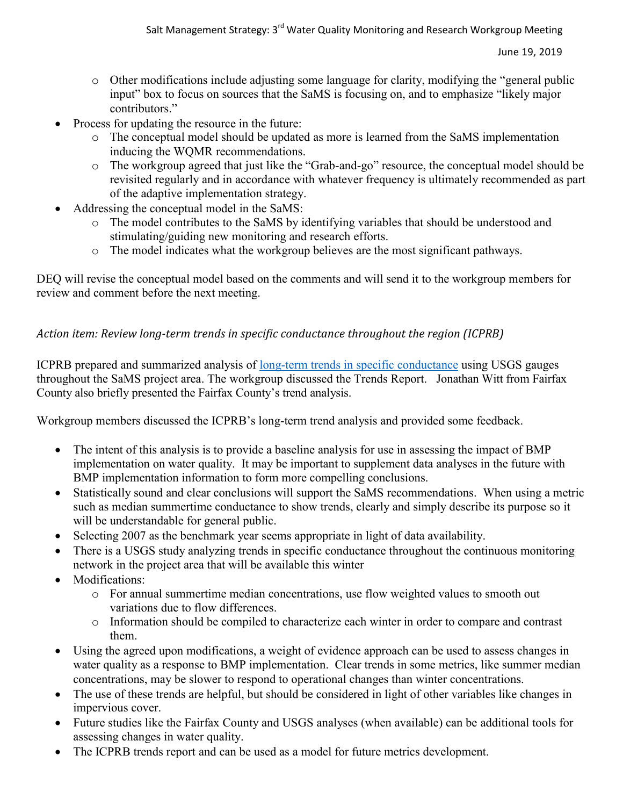- o Other modifications include adjusting some language for clarity, modifying the "general public input" box to focus on sources that the SaMS is focusing on, and to emphasize "likely major contributors."
- Process for updating the resource in the future:
	- o The conceptual model should be updated as more is learned from the SaMS implementation inducing the WQMR recommendations.
	- o The workgroup agreed that just like the "Grab-and-go" resource, the conceptual model should be revisited regularly and in accordance with whatever frequency is ultimately recommended as part of the adaptive implementation strategy.
- Addressing the conceptual model in the SaMS:
	- o The model contributes to the SaMS by identifying variables that should be understood and stimulating/guiding new monitoring and research efforts.
	- o The model indicates what the workgroup believes are the most significant pathways.

DEQ will revise the conceptual model based on the comments and will send it to the workgroup members for review and comment before the next meeting.

#### *Action item: Review long-term trends in specific conductance throughout the region (ICPRB)*

ICPRB prepared and summarized analysis of [long-term trends in specific](https://www.deq.virginia.gov/Portals/0/DEQ/Water/TMDL/SaMS/MeetingMaterials/WMRwg/Meeting3/SaMS_IP_WQMR3_RegionalSCTrends_061719.pdf) conductance using USGS gauges throughout the SaMS project area. The workgroup discussed the Trends Report. Jonathan Witt from Fairfax County also briefly presented the Fairfax County's trend analysis.

Workgroup members discussed the ICPRB's long-term trend analysis and provided some feedback.

- The intent of this analysis is to provide a baseline analysis for use in assessing the impact of BMP implementation on water quality. It may be important to supplement data analyses in the future with BMP implementation information to form more compelling conclusions.
- Statistically sound and clear conclusions will support the SaMS recommendations. When using a metric such as median summertime conductance to show trends, clearly and simply describe its purpose so it will be understandable for general public.
- Selecting 2007 as the benchmark year seems appropriate in light of data availability.
- There is a USGS study analyzing trends in specific conductance throughout the continuous monitoring network in the project area that will be available this winter
- Modifications:
	- o For annual summertime median concentrations, use flow weighted values to smooth out variations due to flow differences.
	- o Information should be compiled to characterize each winter in order to compare and contrast them.
- Using the agreed upon modifications, a weight of evidence approach can be used to assess changes in water quality as a response to BMP implementation. Clear trends in some metrics, like summer median concentrations, may be slower to respond to operational changes than winter concentrations.
- The use of these trends are helpful, but should be considered in light of other variables like changes in impervious cover.
- Future studies like the Fairfax County and USGS analyses (when available) can be additional tools for assessing changes in water quality.
- The ICPRB trends report and can be used as a model for future metrics development.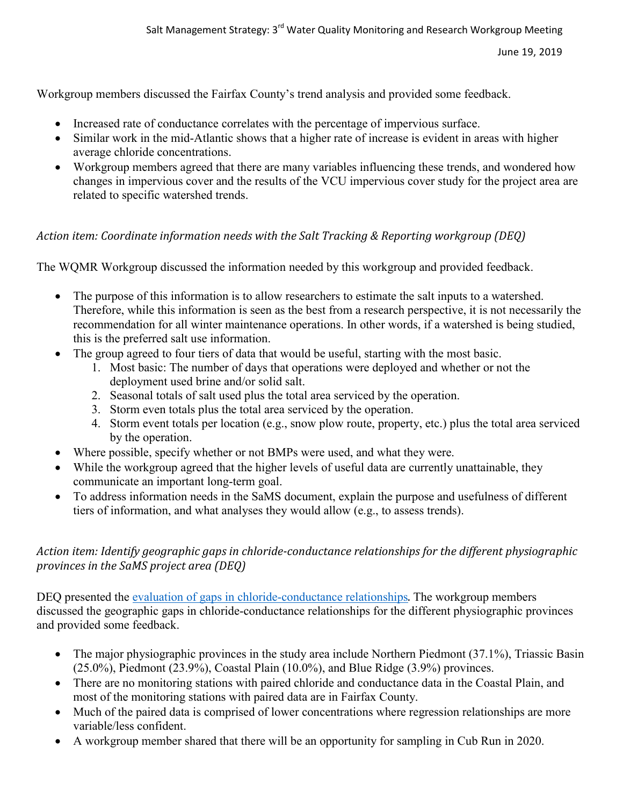Workgroup members discussed the Fairfax County's trend analysis and provided some feedback.

- Increased rate of conductance correlates with the percentage of impervious surface.
- Similar work in the mid-Atlantic shows that a higher rate of increase is evident in areas with higher average chloride concentrations.
- Workgroup members agreed that there are many variables influencing these trends, and wondered how changes in impervious cover and the results of the VCU impervious cover study for the project area are related to specific watershed trends.

## *Action item: Coordinate information needs with the Salt Tracking & Reporting workgroup (DEQ)*

The WQMR Workgroup discussed the information needed by this workgroup and provided feedback.

- The purpose of this information is to allow researchers to estimate the salt inputs to a watershed. Therefore, while this information is seen as the best from a research perspective, it is not necessarily the recommendation for all winter maintenance operations. In other words, if a watershed is being studied, this is the preferred salt use information.
- The group agreed to four tiers of data that would be useful, starting with the most basic.
	- 1. Most basic: The number of days that operations were deployed and whether or not the deployment used brine and/or solid salt.
	- 2. Seasonal totals of salt used plus the total area serviced by the operation.
	- 3. Storm even totals plus the total area serviced by the operation.
	- 4. Storm event totals per location (e.g., snow plow route, property, etc.) plus the total area serviced by the operation.
- Where possible, specify whether or not BMPs were used, and what they were.
- While the workgroup agreed that the higher levels of useful data are currently unattainable, they communicate an important long-term goal.
- To address information needs in the SaMS document, explain the purpose and usefulness of different tiers of information, and what analyses they would allow (e.g., to assess trends).

#### *Action item: Identify geographic gaps in chloride-conductance relationships for the different physiographic provinces in the SaMS project area (DEQ)*

DEQ presented the [evaluation of gaps in chloride-conductance](https://www.deq.virginia.gov/Portals/0/DEQ/Water/TMDL/SaMS/MeetingMaterials/WMRwg/Meeting3/SaMS_IP_WQMR3_ActionItem-2_GapsSpC&Cl.xlsx) relationships. The workgroup members discussed the geographic gaps in chloride-conductance relationships for the different physiographic provinces and provided some feedback.

- The major physiographic provinces in the study area include Northern Piedmont (37.1%), Triassic Basin (25.0%), Piedmont (23.9%), Coastal Plain (10.0%), and Blue Ridge (3.9%) provinces.
- There are no monitoring stations with paired chloride and conductance data in the Coastal Plain, and most of the monitoring stations with paired data are in Fairfax County.
- Much of the paired data is comprised of lower concentrations where regression relationships are more variable/less confident.
- A workgroup member shared that there will be an opportunity for sampling in Cub Run in 2020.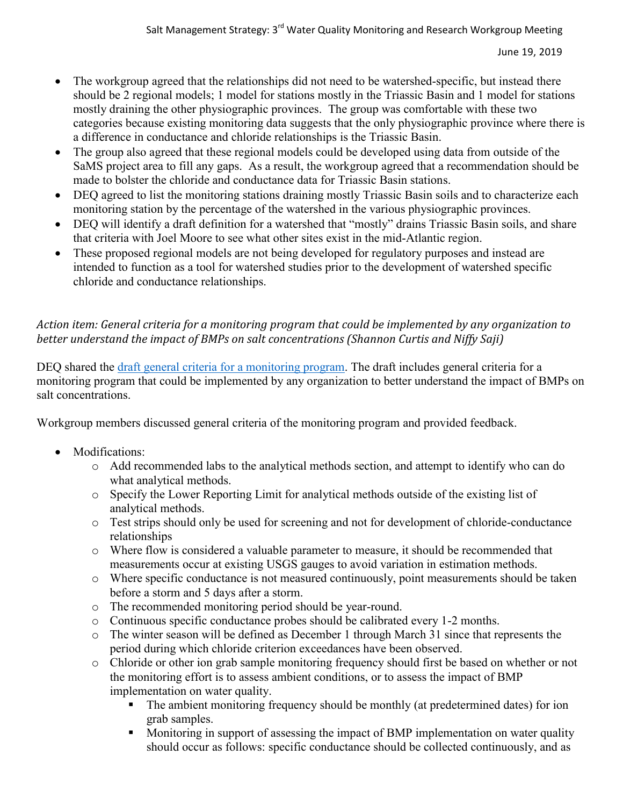- The workgroup agreed that the relationships did not need to be watershed-specific, but instead there should be 2 regional models; 1 model for stations mostly in the Triassic Basin and 1 model for stations mostly draining the other physiographic provinces. The group was comfortable with these two categories because existing monitoring data suggests that the only physiographic province where there is a difference in conductance and chloride relationships is the Triassic Basin.
- The group also agreed that these regional models could be developed using data from outside of the SaMS project area to fill any gaps. As a result, the workgroup agreed that a recommendation should be made to bolster the chloride and conductance data for Triassic Basin stations.
- DEQ agreed to list the monitoring stations draining mostly Triassic Basin soils and to characterize each monitoring station by the percentage of the watershed in the various physiographic provinces.
- DEQ will identify a draft definition for a watershed that "mostly" drains Triassic Basin soils, and share that criteria with Joel Moore to see what other sites exist in the mid-Atlantic region.
- These proposed regional models are not being developed for regulatory purposes and instead are intended to function as a tool for watershed studies prior to the development of watershed specific chloride and conductance relationships.

# *Action item: General criteria for a monitoring program that could be implemented by any organization to better understand the impact of BMPs on salt concentrations (Shannon Curtis and Niffy Saji)*

DEQ shared the [draft general criteria for a monitoring program.](https://www.deq.virginia.gov/Portals/0/DEQ/Water/TMDL/SaMS/MeetingMaterials/WMRwg/Meeting3/SaMS_IP-WQMR3_AI3_SaMSMonitoringCriteria.pdf) The draft includes general criteria for a monitoring program that could be implemented by any organization to better understand the impact of BMPs on salt concentrations.

Workgroup members discussed general criteria of the monitoring program and provided feedback.

- Modifications:
	- o Add recommended labs to the analytical methods section, and attempt to identify who can do what analytical methods.
	- o Specify the Lower Reporting Limit for analytical methods outside of the existing list of analytical methods.
	- o Test strips should only be used for screening and not for development of chloride-conductance relationships
	- o Where flow is considered a valuable parameter to measure, it should be recommended that measurements occur at existing USGS gauges to avoid variation in estimation methods.
	- o Where specific conductance is not measured continuously, point measurements should be taken before a storm and 5 days after a storm.
	- o The recommended monitoring period should be year-round.
	- o Continuous specific conductance probes should be calibrated every 1-2 months.
	- o The winter season will be defined as December 1 through March 31 since that represents the period during which chloride criterion exceedances have been observed.
	- o Chloride or other ion grab sample monitoring frequency should first be based on whether or not the monitoring effort is to assess ambient conditions, or to assess the impact of BMP implementation on water quality.
		- The ambient monitoring frequency should be monthly (at predetermined dates) for ion grab samples.
		- Monitoring in support of assessing the impact of BMP implementation on water quality should occur as follows: specific conductance should be collected continuously, and as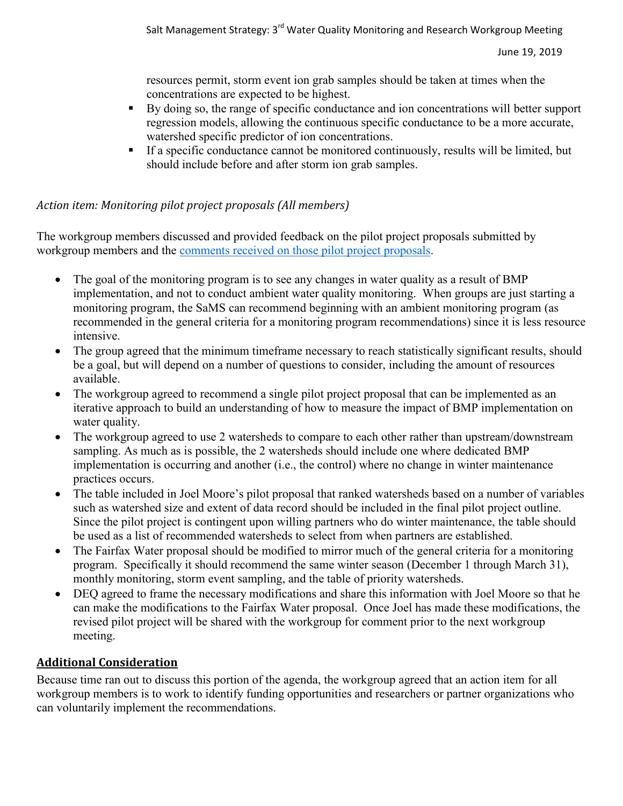resources permit, storm event ion grab samples should be taken at times when the concentrations are expected to be highest.

- By doing so, the range of specific conductance and ion concentrations will better support regression models, allowing the continuous specific conductance to be a more accurate, watershed specific predictor of ion concentrations.
- If a specific conductance cannot be monitored continuously, results will be limited, but should include before and after storm ion grab samples.

## *Action item: Monitoring pilot project proposals (All members)*

The workgroup members discussed and provided feedback on the pilot project proposals submitted by workgroup members and the comments received [on those pilot project proposals.](https://www.deq.virginia.gov/Portals/0/DEQ/Water/TMDL/SaMS/MeetingMaterials/WMRwg/Meeting3/SaMS_IP-WQMR-AI1_SummaryofPilotProsalComments.pdf)

- The goal of the monitoring program is to see any changes in water quality as a result of BMP implementation, and not to conduct ambient water quality monitoring. When groups are just starting a monitoring program, the SaMS can recommend beginning with an ambient monitoring program (as recommended in the general criteria for a monitoring program recommendations) since it is less resource intensive.
- The group agreed that the minimum timeframe necessary to reach statistically significant results, should be a goal, but will depend on a number of questions to consider, including the amount of resources available.
- The workgroup agreed to recommend a single pilot project proposal that can be implemented as an iterative approach to build an understanding of how to measure the impact of BMP implementation on water quality.
- The workgroup agreed to use 2 watersheds to compare to each other rather than upstream/downstream sampling. As much as is possible, the 2 watersheds should include one where dedicated BMP implementation is occurring and another (i.e., the control) where no change in winter maintenance practices occurs.
- The table included in Joel Moore's pilot proposal that ranked watersheds based on a number of variables such as watershed size and extent of data record should be included in the final pilot project outline. Since the pilot project is contingent upon willing partners who do winter maintenance, the table should be used as a list of recommended watersheds to select from when partners are established.
- The Fairfax Water proposal should be modified to mirror much of the general criteria for a monitoring program. Specifically it should recommend the same winter season (December 1 through March 31), monthly monitoring, storm event sampling, and the table of priority watersheds.
- DEQ agreed to frame the necessary modifications and share this information with Joel Moore so that he can make the modifications to the Fairfax Water proposal. Once Joel has made these modifications, the revised pilot project will be shared with the workgroup for comment prior to the next workgroup meeting.

## **Additional Consideration**

Because time ran out to discuss this portion of the agenda, the workgroup agreed that an action item for all workgroup members is to work to identify funding opportunities and researchers or partner organizations who can voluntarily implement the recommendations.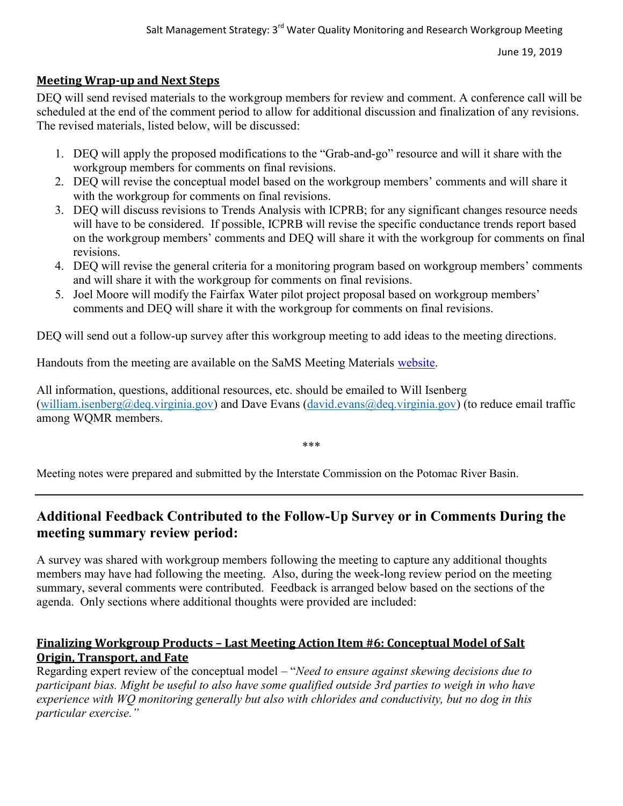#### **Meeting Wrap-up and Next Steps**

DEQ will send revised materials to the workgroup members for review and comment. A conference call will be scheduled at the end of the comment period to allow for additional discussion and finalization of any revisions. The revised materials, listed below, will be discussed:

- 1. DEQ will apply the proposed modifications to the "Grab-and-go" resource and will it share with the workgroup members for comments on final revisions.
- 2. DEQ will revise the conceptual model based on the workgroup members' comments and will share it with the workgroup for comments on final revisions.
- 3. DEQ will discuss revisions to Trends Analysis with ICPRB; for any significant changes resource needs will have to be considered. If possible, ICPRB will revise the specific conductance trends report based on the workgroup members' comments and DEQ will share it with the workgroup for comments on final revisions.
- 4. DEQ will revise the general criteria for a monitoring program based on workgroup members' comments and will share it with the workgroup for comments on final revisions.
- 5. Joel Moore will modify the Fairfax Water pilot project proposal based on workgroup members' comments and DEQ will share it with the workgroup for comments on final revisions.

DEQ will send out a follow-up survey after this workgroup meeting to add ideas to the meeting directions.

Handouts from the meeting are available on the SaMS Meeting Materials [website.](https://www.deq.virginia.gov/SaMS/MeetingMaterials.aspx)

All information, questions, additional resources, etc. should be emailed to Will Isenberg [\(william.isenberg@deq.virginia.gov\)](mailto:william.isenberg@deq.virginia.gov) and Dave Evans (david.evans@deq.virginia.gov) (to reduce email traffic among WQMR members.

\*\*\*

Meeting notes were prepared and submitted by the Interstate Commission on the Potomac River Basin.

# **Additional Feedback Contributed to the Follow-Up Survey or in Comments During the meeting summary review period:**

A survey was shared with workgroup members following the meeting to capture any additional thoughts members may have had following the meeting. Also, during the week-long review period on the meeting summary, several comments were contributed. Feedback is arranged below based on the sections of the agenda. Only sections where additional thoughts were provided are included:

#### **Finalizing Workgroup Products – Last Meeting Action Item #6: Conceptual Model of Salt Origin, Transport, and Fate**

Regarding expert review of the conceptual model – "*Need to ensure against skewing decisions due to participant bias. Might be useful to also have some qualified outside 3rd parties to weigh in who have experience with WQ monitoring generally but also with chlorides and conductivity, but no dog in this particular exercise."*